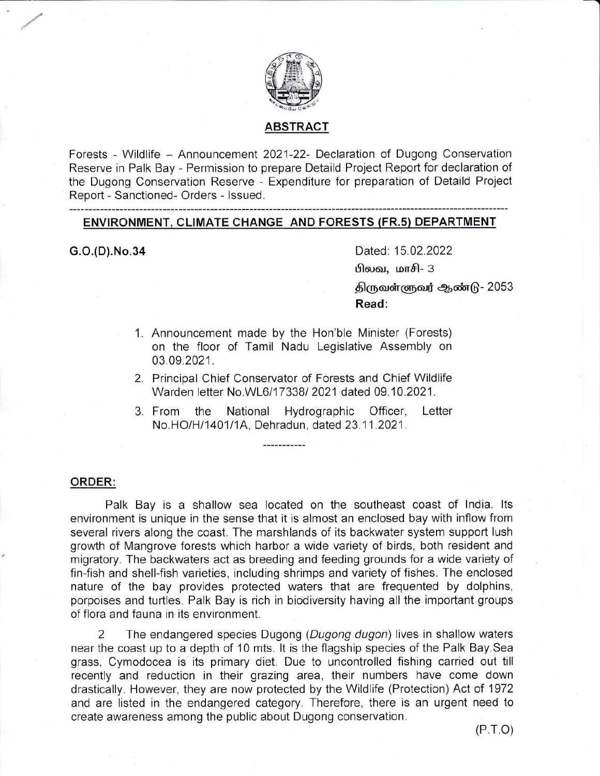

# ABSTRACT

Forests - Wildlife - Announcement 2021-22- Declaration of Dugong Conservation Reserve in Palk Bay - Permission to prepare Detaild Project Report for declaration of the Dugong Conservation Reserve - Expenditure for preparation of Detaild Project Report - Sanctioned- Orders - lssued.

## ENVIRONMENT, CLIMATE CHANGE AND FORESTS (FR.s) DEPARTMENT

G.O.(D).No.34 Dated: 15.02.2022

 $\theta$ லவ, மாசி- 3

திருவள்ளுவர் ஆண்டு - 2053 Read:

- Announcement made by the Hon'ble Minister (Forests) 1. on the floor of Tamil Nadu Legislative Assembly on 03.09.2021.
- 2. Principal Chief Conservator of Forests and Chief Wildlife Warden letter No.WL6/17338/ 2021 dated 09.10.2021.
- National Hydrographic Officer, Letter No.HO/H/1401/1A, Dehradun, dated 23.11.2021. 3. From the

#### ORDER:

Palk Bay is a shallow sea located on the southeast coast of lndia. lts environment is unique in the sense that it is almost an enclosed bay with inflow from several rivers along the coast. The marshlands of its backwater system support lush growth of Mangrove forests which harbor a wide variety of birds, both resident and migratory. The backwaters act as breeding and feeding grounds for a wide variety of fin-fish and shell-fish varieties, including shrimps and variety of fishes. The enclosed nature of the bay provides protected waters that are frequented by dolphins, porpoises and turtles. Palk Bay is rich in biodiversity having all the important groups of flora and fauna in its environment.

2 The endangered species Dugong (Dugong dugon) lives in shallow waters near the coast up to a depth of 10 mts. It is the flagship species of the Palk Bay. Sea grass, Cymodocea is its primary diet. Due to uncontrolled fishing carried out till recently and reduction in their grazing area, their numbers have come down drastically. However, they are now protected by the Wildlife (Protection) Act of 1972 and are listed in the endangered category. Therefore, there is an urgent need to create awareness among the public about Dugong conservation.

 $(P.T.O)$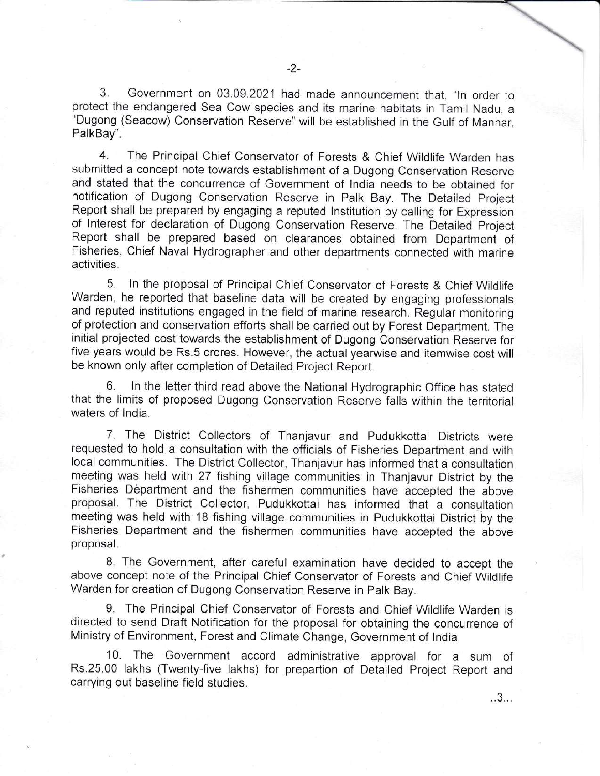3. Government on 03.09.2021 had made announcement that, "ln order to protect the endangered Sea Cow species and its marine habitats in Tamil Nadu, <sup>a</sup> "Dugong (Seacow) Conservation Reserve" will be established in the Gulf of Mannar, PalkBay".

4. The Principal Chief Conservator of Forests & Chief Wildlife Warden has submitted a concept note towards establishment of a Dugong Conservation Reserve and stated that the concurrence of Government of lndia needs to be obtained for notification of Dugong Conservation Reserve in Palk Bay. The Detailed Project Report shall be prepared by engaging a reputed lnstitution by calling for Expression of lnterest for declaration of Dugong Conservation Reserve. The Detailed Project Report shall be prepared based on clearances obtained from Department of Fisheries, Chief Naval Hydrographer and other departments connected with marine activities.

5. ln the proposal of Principal Chief Conservator of Forests & Chief Wildlife Warden, he reported that baseline data will be created by engaging professionals and reputed institutions engaged in the field of marine research. Regular monitoring of protection and conservation efforts shall be carried out by Forest Department. The initial projected cost towards the establishment of Dugong Conservation Reserve for five years would be Rs.5 crores. However, the actual yearwise and itemwise cost will be known only after completion of Detailed Project Report.

In the letter third read above the National Hydrographic Office has stated that the limits of proposed Dugong Conservation Reserve falls within the territorial waters of lndia.

7. The District Collectors of Thanjavur and Pudukkottai Districts were requested to hold a consultation with the officials of Fisheries Department and with local communities. The District Collector, Thanjavur has informed that a consultation meeting was held with 27 fishing village communities in Thanjavur District by the Fisheries Department and the fishermen communities have accepted the above proposal. The District Collector, Pudukkottai has informed that a consultation meeting was held with 1B fishing village communities in Pudukkottai District by the Fisheries Department and the fishermen communities have accepted the above proposal.

8. The Government, after careful examination have decided to accept the above concept note of the Principal Chief Conservator of Forests and Chief Wildlife Warden for creation of Dugong Conservation Reserve in Palk Bay.

9. The Principal Chief Conservator of Forests and Chief Wildlife Warden is directed to send Draft Notification for the proposal for obtaining the concurrence of Ministry of Environment, Forest and Climate Change, Government of lndia.

10. The Government accord administrative approval for a sum of Rs.25.00 lakhs (Twenty-five lakhs) for prepartion of Detailed Project Report and carrying out baseline field studies.

 $.3...$